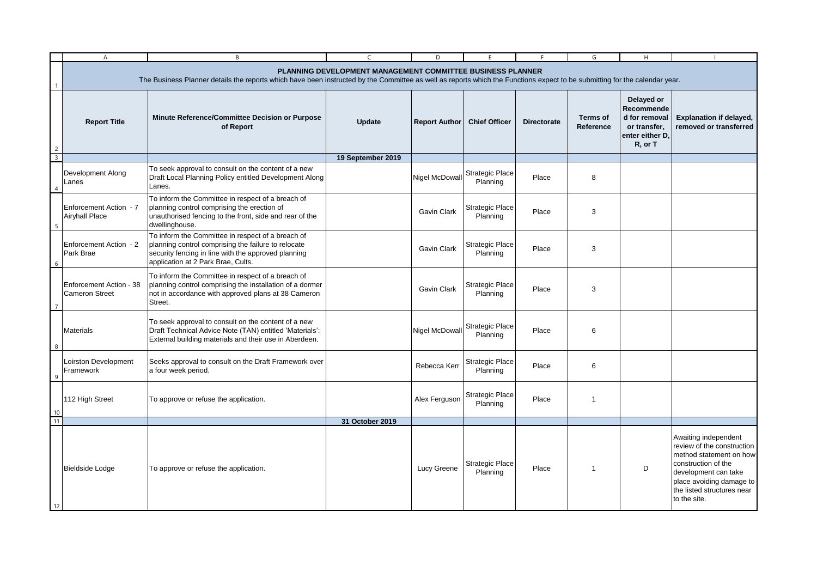|                         | $\overline{A}$                                                                                                                                                                                                                           | B                                                                                                                                                                                                     | $\mathsf{C}$      | D                    |                                    |                    | G                            | H                                                                                       |                                                                                                                                                                                                        |  |
|-------------------------|------------------------------------------------------------------------------------------------------------------------------------------------------------------------------------------------------------------------------------------|-------------------------------------------------------------------------------------------------------------------------------------------------------------------------------------------------------|-------------------|----------------------|------------------------------------|--------------------|------------------------------|-----------------------------------------------------------------------------------------|--------------------------------------------------------------------------------------------------------------------------------------------------------------------------------------------------------|--|
|                         | PLANNING DEVELOPMENT MANAGEMENT COMMITTEE BUSINESS PLANNER<br>The Business Planner details the reports which have been instructed by the Committee as well as reports which the Functions expect to be submitting for the calendar year. |                                                                                                                                                                                                       |                   |                      |                                    |                    |                              |                                                                                         |                                                                                                                                                                                                        |  |
| $\overline{2}$          | <b>Report Title</b>                                                                                                                                                                                                                      | Minute Reference/Committee Decision or Purpose<br>of Report                                                                                                                                           | Update            | <b>Report Author</b> | <b>Chief Officer</b>               | <b>Directorate</b> | <b>Terms of</b><br>Reference | Delayed or<br>Recommende<br>d for removal<br>or transfer,<br>enter either D.<br>R, or T | <b>Explanation if delayed,</b><br>removed or transferred                                                                                                                                               |  |
| $\overline{\mathbf{3}}$ |                                                                                                                                                                                                                                          |                                                                                                                                                                                                       | 19 September 2019 |                      |                                    |                    |                              |                                                                                         |                                                                                                                                                                                                        |  |
| $\overline{4}$          | Development Along<br>Lanes                                                                                                                                                                                                               | To seek approval to consult on the content of a new<br>Draft Local Planning Policy entitled Development Along<br>Lanes.                                                                               |                   | Nigel McDowal        | <b>Strategic Place</b><br>Planning | Place              | 8                            |                                                                                         |                                                                                                                                                                                                        |  |
|                         | Enforcement Action - 7<br><b>Airyhall Place</b>                                                                                                                                                                                          | To inform the Committee in respect of a breach of<br>planning control comprising the erection of<br>unauthorised fencing to the front, side and rear of the<br>dwellinghouse.                         |                   | <b>Gavin Clark</b>   | Strategic Place<br>Planning        | Place              | 3                            |                                                                                         |                                                                                                                                                                                                        |  |
| -6                      | Enforcement Action - 2<br>Park Brae                                                                                                                                                                                                      | To inform the Committee in respect of a breach of<br>planning control comprising the failure to relocate<br>security fencing in line with the approved planning<br>application at 2 Park Brae, Cults. |                   | Gavin Clark          | <b>Strategic Place</b><br>Planning | Place              | 3                            |                                                                                         |                                                                                                                                                                                                        |  |
|                         | Enforcement Action - 38<br><b>Cameron Street</b>                                                                                                                                                                                         | To inform the Committee in respect of a breach of<br>planning control comprising the installation of a dormer<br>not in accordance with approved plans at 38 Cameron<br>Street.                       |                   | Gavin Clark          | Strategic Place<br>Planning        | Place              | 3                            |                                                                                         |                                                                                                                                                                                                        |  |
| 8                       | <b>Materials</b>                                                                                                                                                                                                                         | To seek approval to consult on the content of a new<br>Draft Technical Advice Note (TAN) entitled 'Materials':<br>External building materials and their use in Aberdeen.                              |                   | Nigel McDowall       | <b>Strategic Place</b><br>Planning | Place              | 6                            |                                                                                         |                                                                                                                                                                                                        |  |
| 9                       | Loirston Development<br>Framework                                                                                                                                                                                                        | Seeks approval to consult on the Draft Framework over<br>a four week period.                                                                                                                          |                   | Rebecca Kerr         | <b>Strategic Place</b><br>Planning | Place              | 6                            |                                                                                         |                                                                                                                                                                                                        |  |
| 10                      | 112 High Street                                                                                                                                                                                                                          | To approve or refuse the application.                                                                                                                                                                 |                   | Alex Ferguson        | <b>Strategic Place</b><br>Planning | Place              | $\overline{1}$               |                                                                                         |                                                                                                                                                                                                        |  |
| 11                      |                                                                                                                                                                                                                                          |                                                                                                                                                                                                       | 31 October 2019   |                      |                                    |                    |                              |                                                                                         |                                                                                                                                                                                                        |  |
| 12                      | Bieldside Lodge                                                                                                                                                                                                                          | To approve or refuse the application.                                                                                                                                                                 |                   | Lucy Greene          | <b>Strategic Place</b><br>Planning | Place              | $\overline{1}$               | D                                                                                       | Awaiting independent<br>review of the construction<br>method statement on how<br>construction of the<br>development can take<br>place avoiding damage to<br>the listed structures near<br>to the site. |  |